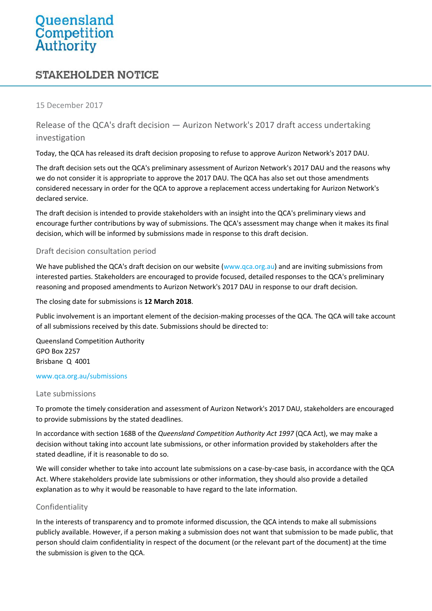# Queensland **Competition**<br>**Authority**

# **STAKEHOLDER NOTICE**

#### 15 December 2017

Release of the QCA's draft decision — Aurizon Network's 2017 draft access undertaking investigation

Today, the QCA has released its draft decision proposing to refuse to approve Aurizon Network's 2017 DAU.

The draft decision sets out the QCA's preliminary assessment of Aurizon Network's 2017 DAU and the reasons why we do not consider it is appropriate to approve the 2017 DAU. The QCA has also set out those amendments considered necessary in order for the QCA to approve a replacement access undertaking for Aurizon Network's declared service.

The draft decision is intended to provide stakeholders with an insight into the QCA's preliminary views and encourage further contributions by way of submissions. The QCA's assessment may change when it makes its final decision, which will be informed by submissions made in response to this draft decision.

# Draft decision consultation period

We have published the QCA's draft decision on our website (www.qca.org.au) and are inviting submissions from interested parties. Stakeholders are encouraged to provide focused, detailed responses to the QCA's preliminary reasoning and proposed amendments to Aurizon Network's 2017 DAU in response to our draft decision.

The closing date for submissions is **12 March 2018**.

Public involvement is an important element of the decision-making processes of the QCA. The QCA will take account of all submissions received by this date. Submissions should be directed to:

Queensland Competition Authority GPO Box 2257 Brisbane Q 4001

#### [www.qca.org.au/submissions](http://www.qca.org.au/submissions)

#### Late submissions

To promote the timely consideration and assessment of Aurizon Network's 2017 DAU, stakeholders are encouraged to provide submissions by the stated deadlines.

In accordance with section 168B of the *Queensland Competition Authority Act 1997* (QCA Act), we may make a decision without taking into account late submissions, or other information provided by stakeholders after the stated deadline, if it is reasonable to do so.

We will consider whether to take into account late submissions on a case-by-case basis, in accordance with the QCA Act. Where stakeholders provide late submissions or other information, they should also provide a detailed explanation as to why it would be reasonable to have regard to the late information.

# Confidentiality

In the interests of transparency and to promote informed discussion, the QCA intends to make all submissions publicly available. However, if a person making a submission does not want that submission to be made public, that person should claim confidentiality in respect of the document (or the relevant part of the document) at the time the submission is given to the QCA.